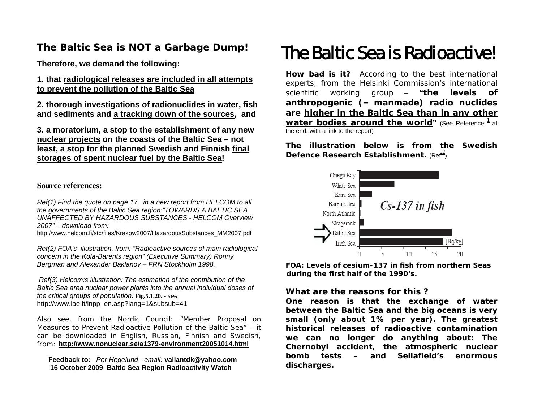# **The Baltic Sea is NOT a Garbage Dump!**

**Therefore, we demand the following:** 

**1. that radiological releases are included in all attempts to prevent the pollution of the Baltic Sea**

**2. thorough investigations of radionuclides in water, fish and sediments and a tracking down of the sources, and** 

**3. a moratorium, a stop to the establishment of any new nuclear projects on the coasts of the Baltic Sea – not least, a stop for the planned Swedish and Finnish final storages of spent nuclear fuel by the Baltic Sea!** 

#### **Source references:**

*Ref(1) Find the quote on page 17, in a new report from HELCOM to all the governments of the Baltic Sea region:"TOWARDS A BALTIC SEA UNAFFECTED BY HAZARDOUS SUBSTANCES - HELCOM Overview 2007" – download from:* 

http://www.helcom.fi/stc/files/Krakow2007/HazardousSubstances\_MM2007.pdf

*Ref(2) FOA's illustration, from: "Radioactive sources of main radiological concern in the Kola-Barents region" (Executive Summary) Ronny Bergman and Alexander Baklanov – FRN Stockholm 1998.* 

 *Ref(3) Helcom:s illustration: The estimation of the contribution of the Baltic Sea area nuclear power plants into the annual individual doses of the critical groups of population.* **Fig.5.1.20.** *- see:*  [http://www.iae.lt/inpp\\_en.asp?lang=1&subsub=41](http://www.iae.lt/inpp_en.asp?lang=1&subsub=41)

Also see, from the Nordic Council: "Member Proposal on Measures to Prevent Radioactive Pollution of the Baltic Sea" – it can be downloaded in English, Russian, Finnish and Swedish, from: **<http://www.nonuclear.se/a1379-environment20051014.html>**

 **Feedback to:** *Per Hegelund - email:* **[valiantdk@yahoo.com](mailto:valiantdk@yahoo.com) 16 October 2009 Baltic Sea Region Radioactivity Watch**

# The Baltic Sea is Radioactive!

**How bad is it?** According to the best international experts, from the Helsinki Commission's international scientific working group – **"***the levels of anthropogenic ( = manmade) radio nuclides are higher in the Baltic Sea than in any other water bodies around the world* (See Reference  $\frac{1}{1}$  at the end, with a link to the report)

**The illustration below is from the Swedish Defence Research Establishment.** (Ref<sup>2</sup>)



**FOA: Levels of cesium-137 in fish from northern Seas during the first half of the 1990's.**

### **What are the reasons for this ?**

**One reason is that the exchange of water between the Baltic Sea and the big oceans is very small (only about 1% per year). The greatest historical releases of radioactive contamination we can no longer do anything about: The Chernobyl accident, the atmospheric nuclear bomb tests – and Sellafield's enormous discharges.**